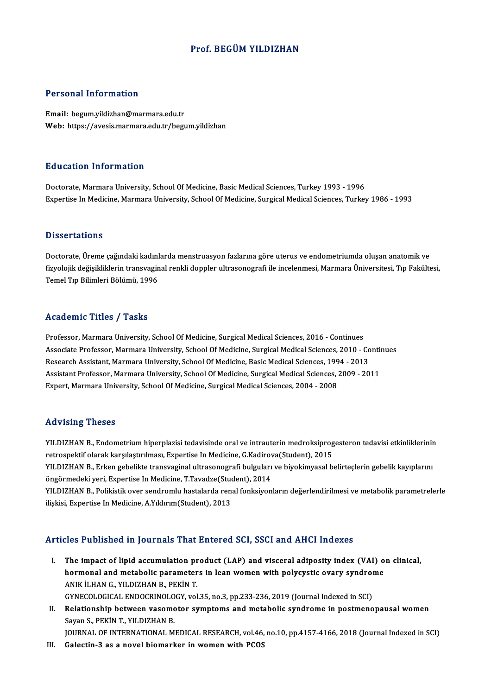## Prof. BEGÜMYILDIZHAN

## Personal Information

Email: begum.yildizhan@marmara.edu.tr Web: https://avesis.marmara.edu.tr/begum.yildizhan

### Education Information

Doctorate, Marmara University, School Of Medicine, Basic Medical Sciences, Turkey 1993 - 1996 Expertise In Medicine, Marmara University, School Of Medicine, Surgical Medical Sciences, Turkey 1986 - 1993

### **Dissertations**

Dissertations<br>Doctorate, Üreme çağındaki kadınlarda menstruasyon fazlarına göre uterus ve endometriumda oluşan anatomik ve<br>fizyolojik doğiqildirlerin transveginel repkli deppler ultresenegrefi ile inselepmesi. Mermare Üniv Bizbor tatronis<br>Doctorate, Üreme çağındaki kadınlarda menstruasyon fazlarına göre uterus ve endometriumda oluşan anatomik ve<br>Tamel Tıp Bilimleri Bölümü, 1996 Doctorate, Üreme çağındaki kadınl<br>fizyolojik değişikliklerin transvagin<br>Temel Tıp Bilimleri Bölümü, 1996

## Temel Tıp Bilimleri Bölümü, 1996<br>Academic Titles / Tasks

Academic Titles / Tasks<br>Professor, Marmara University, School Of Medicine, Surgical Medical Sciences, 2016 - Continues<br>Associate Professor, Marmara University, School Of Medicine, Surgical Medical Sciences, 2010, *(* Associate Article 7, Andre<br>Professor, Marmara University, School Of Medicine, Surgical Medical Sciences, 2016 - Continues<br>Associate Professor, Marmara University, School Of Medicine, Surgical Medical Sciences, 2010 - Conti Professor, Marmara University, School Of Medicine, Surgical Medical Sciences, 2016 - Continues<br>Associate Professor, Marmara University, School Of Medicine, Surgical Medical Sciences, 2010 - Co<br>Research Assistant, Marmara U Associate Professor, Marmara University, School Of Medicine, Surgical Medical Sciences, 2010 - Contin<br>Research Assistant, Marmara University, School Of Medicine, Basic Medical Sciences, 1994 - 2013<br>Assistant Professor, Mar Research Assistant, Marmara University, School Of Medicine, Basic Medical Sciences, 199<br>Assistant Professor, Marmara University, School Of Medicine, Surgical Medical Sciences, .<br>Expert, Marmara University, School Of Medici Expert, Marmara University, School Of Medicine, Surgical Medical Sciences, 2004 - 2008<br>Advising Theses

Advising Theses<br>YILDIZHAN B., Endometrium hiperplazisi tedavisinde oral ve intrauterin medroksiprogesteron tedavisi etkinliklerinin<br>Petrespektif elerek karskettrylmesy Evpertise In Medisine *C Vedineve* (Stydent), 2015 retrospektif olarak<br>YILDIZHAN B., Endometrium hiperplazisi tedavisinde oral ve intrauterin medroksiprog<br>retrospektif olarak karşılaştırılması, Expertise In Medicine, G.Kadirova(Student), 2015<br>VILDIZHAN B., Erkan gehelilte YILDIZHAN B., Endometrium hiperplazisi tedavisinde oral ve intrauterin medroksiprogesteron tedavisi etkinliklerinir<br>retrospektif olarak karşılaştırılması, Expertise In Medicine, G.Kadirova(Student), 2015<br>YILDIZHAN B., Erke retrospektif olarak karşılaştırılması, Expertise In Medicine, G.Kadirov<br>YILDIZHAN B., Erken gebelikte transvaginal ultrasonografi bulguları<br>öngörmedeki yeri, Expertise In Medicine, T.Tavadze(Student), 2014<br>VILDIZHAN B., Be YILDIZHAN B., Erken gebelikte transvaginal ultrasonografi bulguları ve biyokimyasal belirteçlerin gebelik kayıplarını<br>öngörmedeki yeri, Expertise In Medicine, T.Tavadze(Student), 2014<br>YILDIZHAN B., Polikistik over sendroml öngörmedeki yeri, Expertise In Medicine, T.Tavadze(Stud<br>YILDIZHAN B., Polikistik over sendromlu hastalarda ren:<br>ilişkisi, Expertise In Medicine, A.Yıldırım(Student), 2013

## ilişkisi, Expertise In Medicine, A.Yıldırım(Student), 2013<br>Articles Published in Journals That Entered SCI, SSCI and AHCI Indexes

I. The impact of lipid accumulation product (LAP) and visceral adiposity index (VAI) on clinical, The impact of lipid accumulation product (LAP) and visceral adiposity index (VAI) of<br>hormonal and metabolic parameters in lean women with polycystic ovary syndrome<br>ANIV II HAN G, VII DIZHAN P, REVIN T The impact of lipid accumulation pr<br>hormonal and metabolic parameter<br>ANIK İLHAN G., YILDIZHAN B., PEKİN T.<br>CYNECOLOCICAL ENDOCEINOLOCY vol hormonal and metabolic parameters in lean women with polycystic ovary syndrom<br>ANIK İLHAN G., YILDIZHAN B., PEKİN T.<br>GYNECOLOGICAL ENDOCRINOLOGY, vol.35, no.3, pp.233-236, 2019 (Journal Indexed in SCI)<br>Pelationskin botween

GYNECOLOGICAL ENDOCRINOLOGY, vol.35, no.3, pp.233-236, 2019 (Journal Indexed in SCI)

ANIK İLHAN G., YILDIZHAN B., PEKİN T.<br>GYNECOLOGICAL ENDOCRINOLOGY, vol.35, no.3, pp.233-236, 2019 (Journal Indexed in SCI)<br>II. Relationship between vasomotor symptoms and metabolic syndrome in postmenopausal women<br>Sava

JOURNAL OF INTERNATIONAL MEDICAL RESEARCH, vol.46, no.10, pp.4157-4166, 2018 (Journal Indexed in SCI)

III. Galectin-3 as a novel biomarker in women with PCOS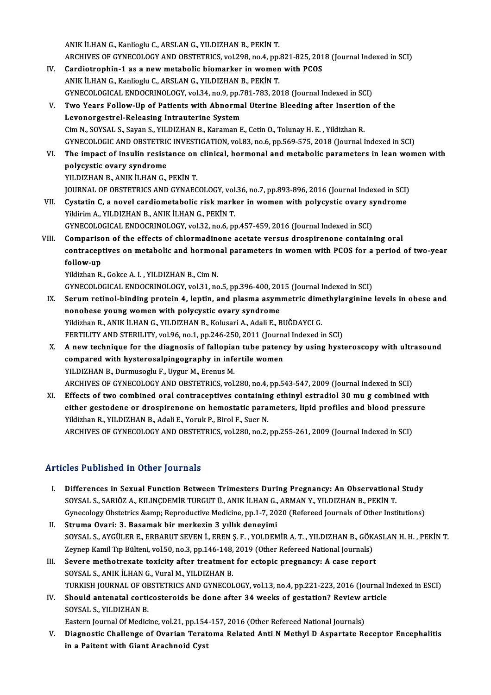ANIK İLHAN G., Kanlioglu C., ARSLAN G., YILDIZHAN B., PEKİN T. ARCHIVES OF GYNECOLOGY AND OBSTETRICS, vol.298, no.4, pp.821-825, 2018 (Journal Indexed in SCI) ANIK İLHAN G., Kanlioglu C., ARSLAN G., YILDIZHAN B., PEKİN T.<br>ARCHIVES OF GYNECOLOGY AND OBSTETRICS, vol.298, no.4, pp.821-825, 201<br>IV. Cardiotrophin-1 as a new metabolic biomarker in women with PCOS

- ARCHIVES OF GYNECOLOGY AND OBSTETRICS, vol.298, no.4, pp.<br>Cardiotrophin-1 as a new metabolic biomarker in women<br>ANIK İLHAN G., Kanlioglu C., ARSLAN G., YILDIZHAN B., PEKİN T.<br>CYNECOLOGICAL ENDOCPINOLOGY vol.24, no.9, np.79 Cardiotrophin-1 as a new metabolic biomarker in women with PCOS<br>ANIK İLHAN G., Kanlioglu C., ARSLAN G., YILDIZHAN B., PEKİN T.<br>GYNECOLOGICAL ENDOCRINOLOGY, vol.34, no.9, pp.781-783, 2018 (Journal Indexed in SCI)<br>Ture Voers ANIK İLHAN G., Kanlioglu C., ARSLAN G., YILDIZHAN B., PEKİN T.<br>GYNECOLOGICAL ENDOCRINOLOGY, vol.34, no.9, pp.781-783, 2018 (Journal Indexed in SCI)<br>V. Two Years Follow-Up of Patients with Abnormal Uterine Bleeding after In
- GYNECOLOGICAL ENDOCRINOLOGY, vol.34, no.9, pp.7<br>Two Years Follow-Up of Patients with Abnorma<br>Levonorgestrel-Releasing Intrauterine System<br>Cim N. SOVSAL S. Soven S. VILDIZHAN B. Karaman E Two Years Follow-Up of Patients with Abnormal Uterine Bleeding after Insertio<br>Levonorgestrel-Releasing Intrauterine System<br>Cim N., SOYSAL S., Sayan S., YILDIZHAN B., Karaman E., Cetin O., Tolunay H. E. , Yildizhan R.<br>CYNEC Levonorgestrel-Releasing Intrauterine System<br>Cim N., SOYSAL S., Sayan S., YILDIZHAN B., Karaman E., Cetin O., Tolunay H. E. , Yildizhan R.<br>GYNECOLOGIC AND OBSTETRIC INVESTIGATION, vol.83, no.6, pp.569-575, 2018 (Journal In Cim N., SOYSAL S., Sayan S., YILDIZHAN B., Karaman E., Cetin O., Tolunay H. E. , Yildizhan R.<br>GYNECOLOGIC AND OBSTETRIC INVESTIGATION, vol.83, no.6, pp.569-575, 2018 (Journal Indexed in SCI)<br>VI. The impact of insulin resis
- GYNECOLOGIC AND OBSTETRIC<br>The impact of insulin resist<br>polycystic ovary syndrome<br>VILDIZHAN BLANIK II HAN C VI. The impact of insulin resistance on clinical, hormonal and metabolic parameters in lean women with polycystic ovary syndrome<br>YILDIZHAN B., ANIK İLHAN G., PEKİN T.

JOURNAL OF OBSTETRICS AND GYNAECOLOGY, vol.36, no.7, pp.893-896, 2016 (Journal Indexed in SCI)

- YILDIZHAN B., ANIK İLHAN G., PEKİN T.<br>JOURNAL OF OBSTETRICS AND GYNAECOLOGY, vol.36, no.7, pp.893-896, 2016 (Journal Indexed in SCI)<br>VII. Cystatin C, a novel cardiometabolic risk marker in women with polycystic ovary s JOURNAL OF OBSTETRICS AND GYNAECOLOGY, vol<br>Cystatin C, a novel cardiometabolic risk mark<br>Yildirim A., YILDIZHAN B., ANIK İLHAN G., PEKİN T.<br>CYNECOLOGICAL ENDOCRINOLOGY vol 32 no 6 ni Cystatin C, a novel cardiometabolic risk marker in women with polycystic ovary syildirim A., YILDIZHAN B., ANIK İLHAN G., PEKİN T.<br>GYNECOLOGICAL ENDOCRINOLOGY, vol.32, no.6, pp.457-459, 2016 (Journal Indexed in SCI)<br>Compos Vildirim A., YILDIZHAN B., ANIK İLHAN G., PEKİN T.<br>GYNECOLOGICAL ENDOCRINOLOGY, vol.32, no.6, pp.457-459, 2016 (Journal Indexed in SCI)<br>VIII. Comparison of the effects of chlormadinone acetate versus drospirenone conta
- GYNECOLOGICAL ENDOCRINOLOGY, vol.32, no.6, pp.457-459, 2016 (Journal Indexed in SCI)<br>Comparison of the effects of chlormadinone acetate versus drospirenone containing oral<br>contraceptives on metabolic and hormonal parameter Compariso<br>contracep<br>follow-up<br><sup>Vildirbon P</sup>

follow-up<br>Yildizhan R., Gokce A. I. , YILDIZHAN B., Cim N.

GYNECOLOGICAL ENDOCRINOLOGY,vol.31,no.5,pp.396-400,2015 (Journal Indexed inSCI)

- IX. Serum retinol-binding protein 4, leptin, and plasma asymmetric dimethylarginine levels in obese and nonobese young women with polycystic ovary syndrome Yildizhan R., ANIK İLHAN G., YILDIZHAN B., Kolusari A., Adali E., BUĞDAYCI G. nonobese young women with polycystic ovary syndrome<br>Yildizhan R., ANIK İLHAN G., YILDIZHAN B., Kolusari A., Adali E., BUĞDAYCI G.<br>FERTILITY AND STERILITY, vol.96, no.1, pp.246-250, 2011 (Journal Indexed in SCI)<br>A new techn Yildizhan R., ANIK İLHAN G., YILDIZHAN B., Kolusari A., Adali E., BUĞDAYCI G.<br>FERTILITY AND STERILITY, vol.96, no.1, pp.246-250, 2011 (Journal Indexed in SCI)<br>X. A new technique for the diagnosis of fallopian tube patency
- FERTILITY AND STERILITY, vol.96, no.1, pp.246-250, 2011 (Journal<br>A new technique for the diagnosis of fallopian tube patend<br>compared with hysterosalpingography in infertile women<br>VU DIZHAN B. Durmuscalu E. Hygur M. Franus A new technique for the diagnosis of fallopia<br>compared with hysterosalpingography in infe<br>YILDIZHAN B., Durmusoglu F., Uygur M., Erenus M.<br>ARCHIVES OF CYNEGOLOCY AND OPSTETPICS vol compared with hysterosalpingography in infertile women<br>YILDIZHAN B., Durmusoglu F., Uygur M., Erenus M.<br>ARCHIVES OF GYNECOLOGY AND OBSTETRICS, vol.280, no.4, pp.543-547, 2009 (Journal Indexed in SCI)<br>Effects of two sombine YILDIZHAN B., Durmusoglu F., Uygur M., Erenus M.<br>ARCHIVES OF GYNECOLOGY AND OBSTETRICS, vol.280, no.4, pp.543-547, 2009 (Journal Indexed in SCI)<br>XI. Effects of two combined oral contraceptives containing ethinyl estradiol
- ARCHIVES OF GYNECOLOGY AND OBSTETRICS, vol.280, no.4, pp.543-547, 2009 (Journal Indexed in SCI)<br>Effects of two combined oral contraceptives containing ethinyl estradiol 30 mu g combined with<br>either gestodene or drospirenon Effects of two combined oral contraceptives containin<br>either gestodene or drospirenone on hemostatic para<br>Yildizhan R., YILDIZHAN B., Adali E., Yoruk P., Birol F., Suer N.<br>ARCHIVES OF CYNEGOLOCY AND OBSTETRICS vol 390, po either gestodene or drospirenone on hemostatic parameters, lipid profiles and blood pressure<br>Yildizhan R., YILDIZHAN B., Adali E., Yoruk P., Birol F., Suer N.<br>ARCHIVES OF GYNECOLOGY AND OBSTETRICS, vol.280, no.2, pp.255-26

## Articles Published in Other Journals

- I. Differences in Sexual Function Between Trimesters During Pregnancy: An Observational Study SOYSAL S.,SARIÖZ A., SUNCI JOUTHULE<br>SOYSAL S., SARIÖZ A., KILINÇDEMİR TURGUT Ü., ANIK İLHAN G., ARMAN Y., YILDIZHAN B., PEKİN T.<br>SOYSAL S., SARIÖZ A., KILINÇDEMİR TURGUT Ü., ANIK İLHAN G., ARMAN Y., YILDIZHAN B., PEKİN T. Differences in Sexual Function Between Trimesters During Pregnancy: An Observational Study<br>SOYSAL S., SARIÖZ A., KILINÇDEMİR TURGUT Ü., ANIK İLHAN G., ARMAN Y., YILDIZHAN B., PEKİN T.<br>Gynecology Obstetrics &amp; Reproducti SOYSAL S., SARIÖZ A., KILINÇDEMİR TURGUT Ü., ANIK İLHAN G.,<br>Gynecology Obstetrics &amp; Reproductive Medicine, pp.1-7, 20<br>II. Struma Ovari: 3. Basamak bir merkezin 3 yıllık deneyimi<br>SOVSAL S. AVÇÜLER E. ERRABUT SEVEN İ. ER
- Gynecology Obstetrics & Reproductive Medicine, pp.1-7, 2020 (Refereed Journals of Other Institutions)<br>Struma Ovari: 3. Basamak bir merkezin 3 yıllık deneyimi<br>SOYSAL S., AYGÜLER E., ERBARUT SEVEN İ., EREN Ş. F. , YOLDEM Struma Ovari: 3. Basamak bir merkezin 3 yıllık deneyimi<br>SOYSAL S., AYGÜLER E., ERBARUT SEVEN İ., EREN Ş. F. , YOLDEMİR A. T. , YILDIZHAN B., GÖK.<br>Zeynep Kamil Tıp Bülteni, vol.50, no.3, pp.146-148, 2019 (Other Refereed Nat SOYSAL S., AYGÜLER E., ERBARUT SEVEN İ., EREN Ş. F., YOLDEMİR A. T., YILDIZHAN B., GÖKA<br>Zeynep Kamil Tıp Bülteni, vol.50, no.3, pp.146-148, 2019 (Other Refereed National Journals)<br>III. Severe methotrexate toxicity after tr
- Zeynep Kamil Tıp Bülteni, vol.50, no.3, pp.146-148,<br>Severe methotrexate toxicity after treatment<br>SOYSAL S., ANIK İLHAN G., Vural M., YILDIZHAN B.<br>TURKISH JOURNAL OF OPSTETRICS AND CYNECOL SOYSAL S., ANIK İLHAN G., Vural M., YILDIZHAN B.<br>TURKISH JOURNAL OF OBSTETRICS AND GYNECOLOGY, vol.13, no.4, pp.221-223, 2016 (Journal Indexed in ESCI) SOYSAL S., ANIK İLHAN G., Vural M., YILDIZHAN B.<br>TURKISH JOURNAL OF OBSTETRICS AND GYNECOLOGY, vol.13, no.4, pp.221-223, 2016 (Journal I<br>IV. Should antenatal corticosteroids be done after 34 weeks of gestation? Review arti
- TURKISH JOURNAL OF OE<br>Should antenatal cortic<br>SOYSAL S., YILDIZHAN B.<br>Festern Journal Of Medici Should antenatal corticosteroids be done after 34 weeks of gestation? Review a<br>SOYSAL S., YILDIZHAN B.<br>Eastern Journal Of Medicine, vol.21, pp.154-157, 2016 (Other Refereed National Journals)<br>Diagnostic Challenge of Overia

Eastern Journal Of Medicine, vol.21, pp.154-157, 2016 (Other Refereed National Journals)

SOYSAL S., YILDIZHAN B.<br>Eastern Journal Of Medicine, vol.21, pp.154-157, 2016 (Other Refereed National Journals)<br>V. Diagnostic Challenge of Ovarian Teratoma Related Anti N Methyl D Aspartate Receptor Encephalitis<br>in a Pait